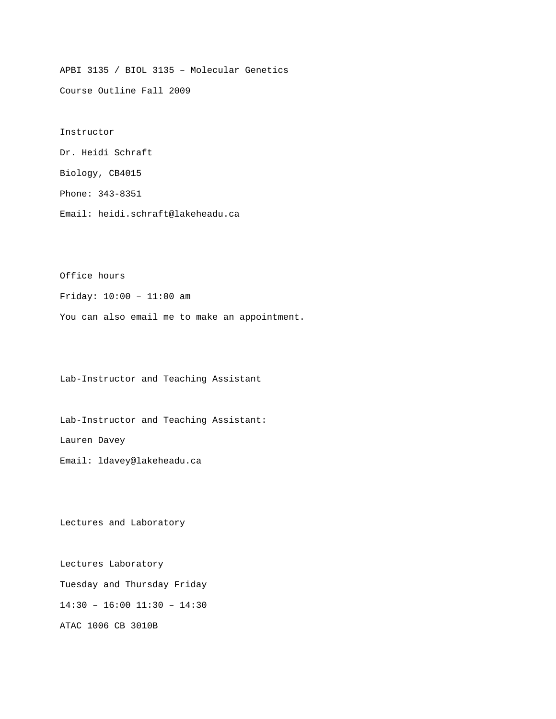APBI 3135 / BIOL 3135 – Molecular Genetics

Course Outline Fall 2009

Instructor Dr. Heidi Schraft Biology, CB4015 Phone: 343-8351

Email: heidi.schraft@lakeheadu.ca

Office hours

Friday: 10:00 – 11:00 am

You can also email me to make an appointment.

Lab-Instructor and Teaching Assistant

Lab-Instructor and Teaching Assistant: Lauren Davey Email: ldavey@lakeheadu.ca

Lectures and Laboratory

Lectures Laboratory Tuesday and Thursday Friday 14:30 – 16:00 11:30 – 14:30 ATAC 1006 CB 3010B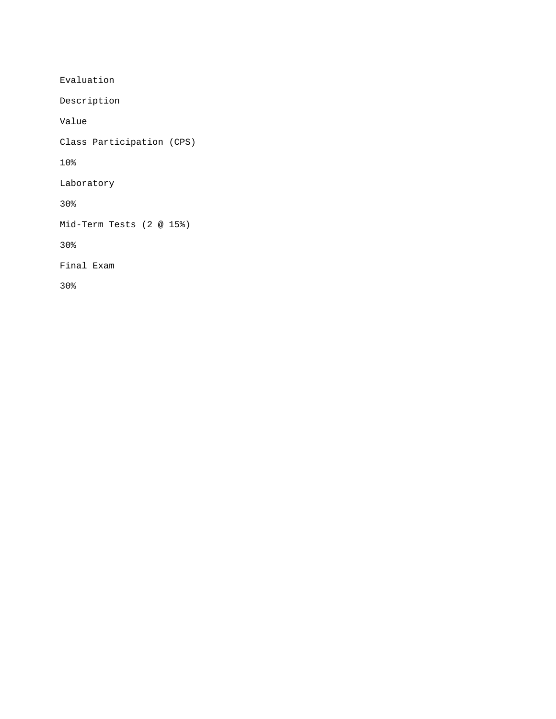Evaluation

Description

Value

Class Participation (CPS)

10%

Laboratory

30%

Mid-Term Tests (2 @ 15%)

30%

Final Exam

30%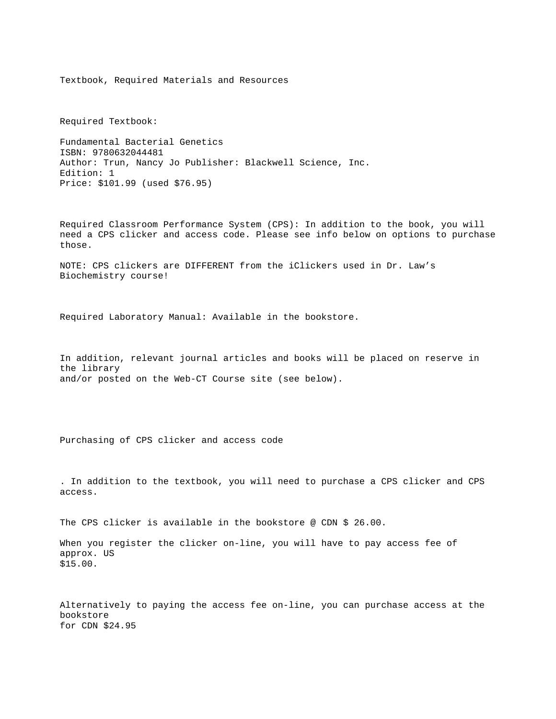Textbook, Required Materials and Resources

Required Textbook:

Fundamental Bacterial Genetics ISBN: 9780632044481 Author: Trun, Nancy Jo Publisher: Blackwell Science, Inc. Edition: 1 Price: \$101.99 (used \$76.95)

Required Classroom Performance System (CPS): In addition to the book, you will need a CPS clicker and access code. Please see info below on options to purchase those.

NOTE: CPS clickers are DIFFERENT from the iClickers used in Dr. Law's Biochemistry course!

Required Laboratory Manual: Available in the bookstore.

In addition, relevant journal articles and books will be placed on reserve in the library and/or posted on the Web-CT Course site (see below).

Purchasing of CPS clicker and access code

. In addition to the textbook, you will need to purchase a CPS clicker and CPS access.

The CPS clicker is available in the bookstore @ CDN \$ 26.00.

When you register the clicker on-line, you will have to pay access fee of approx. US \$15.00.

Alternatively to paying the access fee on-line, you can purchase access at the bookstore for CDN \$24.95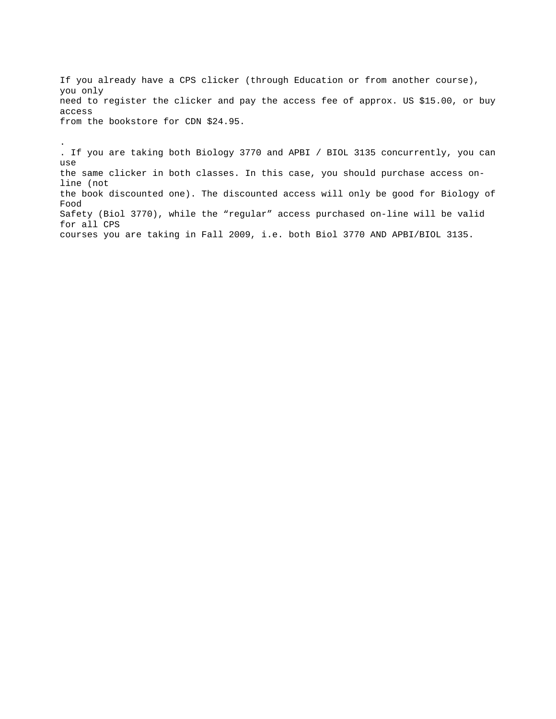If you already have a CPS clicker (through Education or from another course), you only need to register the clicker and pay the access fee of approx. US \$15.00, or buy access from the bookstore for CDN \$24.95.

.

. If you are taking both Biology 3770 and APBI / BIOL 3135 concurrently, you can use the same clicker in both classes. In this case, you should purchase access online (not the book discounted one). The discounted access will only be good for Biology of Food Safety (Biol 3770), while the "regular" access purchased on-line will be valid for all CPS courses you are taking in Fall 2009, i.e. both Biol 3770 AND APBI/BIOL 3135.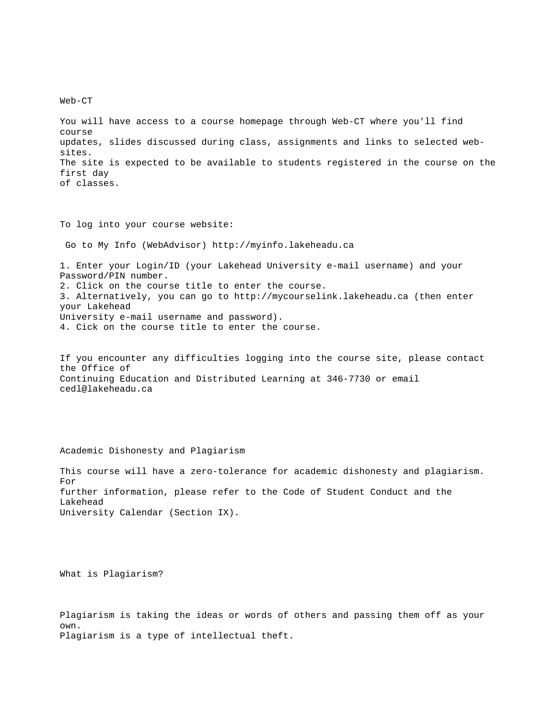Web-CT

You will have access to a course homepage through Web-CT where you'll find course updates, slides discussed during class, assignments and links to selected websites. The site is expected to be available to students registered in the course on the first day of classes.

To log into your course website:

Go to My Info (WebAdvisor) http://myinfo.lakeheadu.ca

1. Enter your Login/ID (your Lakehead University e-mail username) and your Password/PIN number. 2. Click on the course title to enter the course. 3. Alternatively, you can go to http://mycourselink.lakeheadu.ca (then enter your Lakehead University e-mail username and password). 4. Cick on the course title to enter the course.

If you encounter any difficulties logging into the course site, please contact the Office of Continuing Education and Distributed Learning at 346-7730 or email cedl@lakeheadu.ca

Academic Dishonesty and Plagiarism

This course will have a zero-tolerance for academic dishonesty and plagiarism. For further information, please refer to the Code of Student Conduct and the Lakehead University Calendar (Section IX).

What is Plagiarism?

Plagiarism is taking the ideas or words of others and passing them off as your own. Plagiarism is a type of intellectual theft.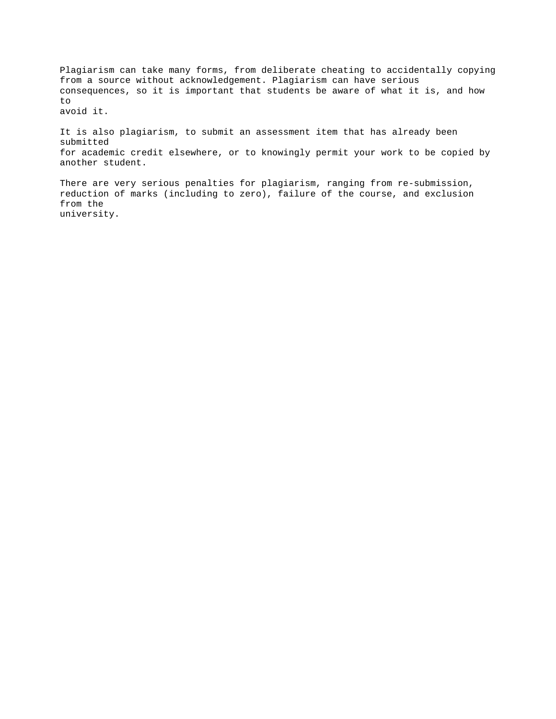Plagiarism can take many forms, from deliberate cheating to accidentally copying from a source without acknowledgement. Plagiarism can have serious consequences, so it is important that students be aware of what it is, and how to avoid it.

It is also plagiarism, to submit an assessment item that has already been submitted for academic credit elsewhere, or to knowingly permit your work to be copied by another student.

There are very serious penalties for plagiarism, ranging from re-submission, reduction of marks (including to zero), failure of the course, and exclusion from the university.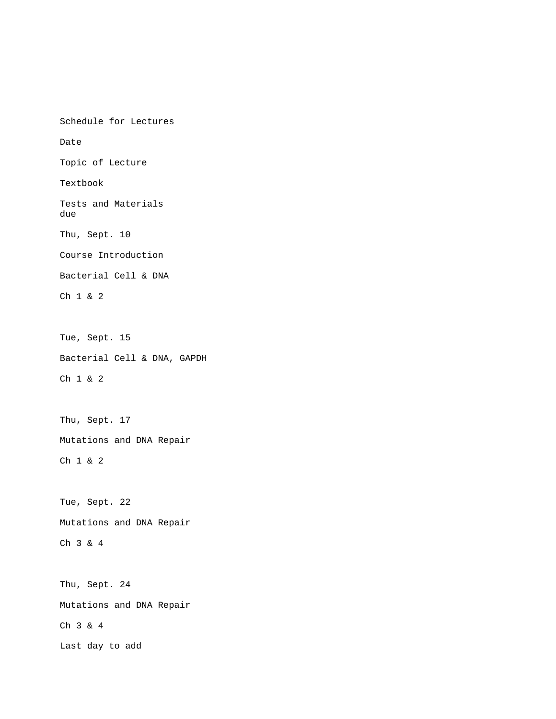Schedule for Lectures Date Topic of Lecture Textbook Tests and Materials due Thu, Sept. 10 Course Introduction Bacterial Cell & DNA Ch 1 & 2 Tue, Sept. 15 Bacterial Cell & DNA, GAPDH Ch 1 & 2 Thu, Sept. 17 Mutations and DNA Repair Ch 1 & 2 Tue, Sept. 22 Mutations and DNA Repair Ch 3 & 4 Thu, Sept. 24 Mutations and DNA Repair Ch 3 & 4 Last day to add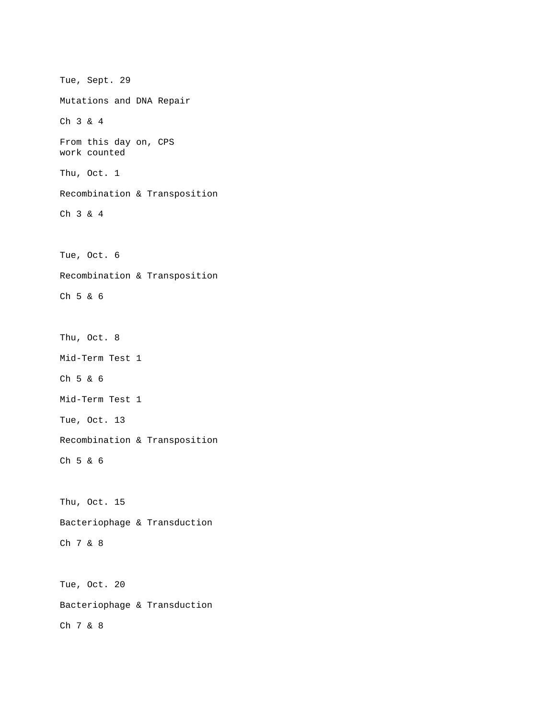Tue, Sept. 29 Mutations and DNA Repair Ch 3 & 4 From this day on, CPS work counted Thu, Oct. 1 Recombination & Transposition Ch 3 & 4 Tue, Oct. 6 Recombination & Transposition Ch 5 & 6 Thu, Oct. 8 Mid-Term Test 1 Ch 5 & 6 Mid-Term Test 1 Tue, Oct. 13 Recombination & Transposition Ch 5 & 6 Thu, Oct. 15 Bacteriophage & Transduction Ch 7 & 8 Tue, Oct. 20 Bacteriophage & Transduction Ch 7 & 8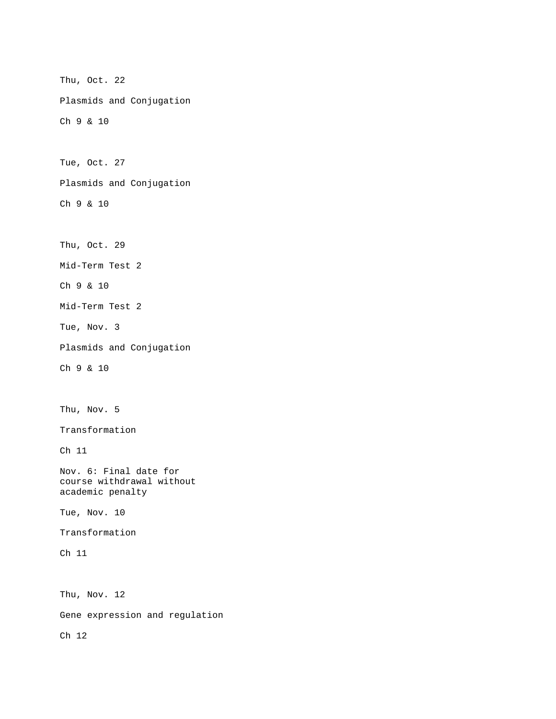Thu, Oct. 22 Plasmids and Conjugation Ch 9 & 10 Tue, Oct. 27 Plasmids and Conjugation Ch 9 & 10 Thu, Oct. 29 Mid-Term Test 2 Ch 9 & 10 Mid-Term Test 2 Tue, Nov. 3 Plasmids and Conjugation Ch 9 & 10 Thu, Nov. 5 Transformation Ch 11 Nov. 6: Final date for course withdrawal without academic penalty Tue, Nov. 10 Transformation Ch 11 Thu, Nov. 12 Gene expression and regulation Ch 12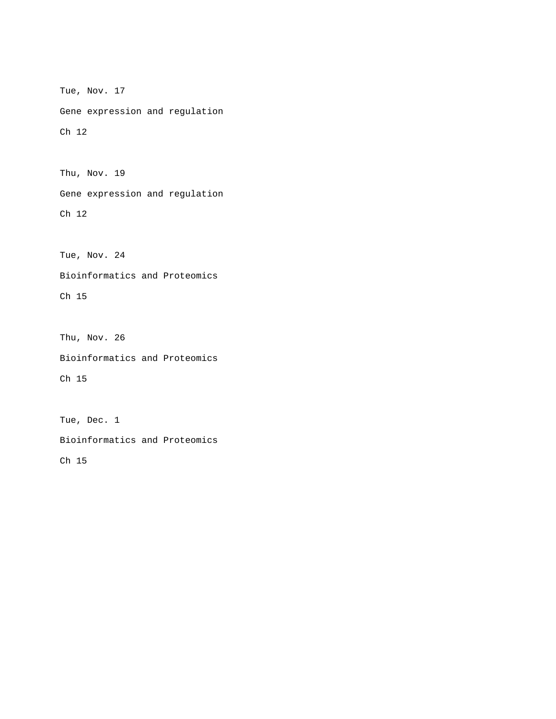Tue, Nov. 17 Gene expression and regulation Ch 12

Thu, Nov. 19

Gene expression and regulation

Ch 12

Tue, Nov. 24

Bioinformatics and Proteomics

Ch 15

Thu, Nov. 26 Bioinformatics and Proteomics Ch 15

Tue, Dec. 1 Bioinformatics and Proteomics Ch 15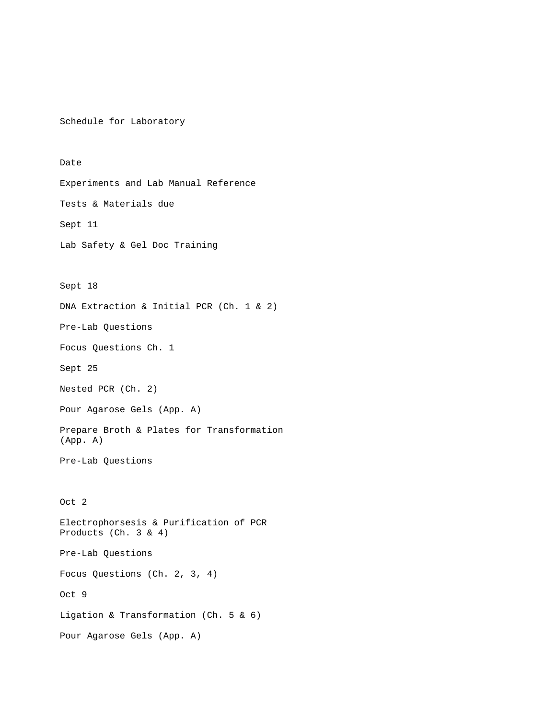Schedule for Laboratory

Date Experiments and Lab Manual Reference Tests & Materials due Sept 11 Lab Safety & Gel Doc Training Sept 18 DNA Extraction & Initial PCR (Ch. 1 & 2) Pre-Lab Questions Focus Questions Ch. 1 Sept 25 Nested PCR (Ch. 2) Pour Agarose Gels (App. A) Prepare Broth & Plates for Transformation (App. A) Pre-Lab Questions Oct 2 Electrophorsesis & Purification of PCR Products (Ch. 3 & 4) Pre-Lab Questions Focus Questions (Ch. 2, 3, 4) Oct 9 Ligation & Transformation (Ch. 5 & 6) Pour Agarose Gels (App. A)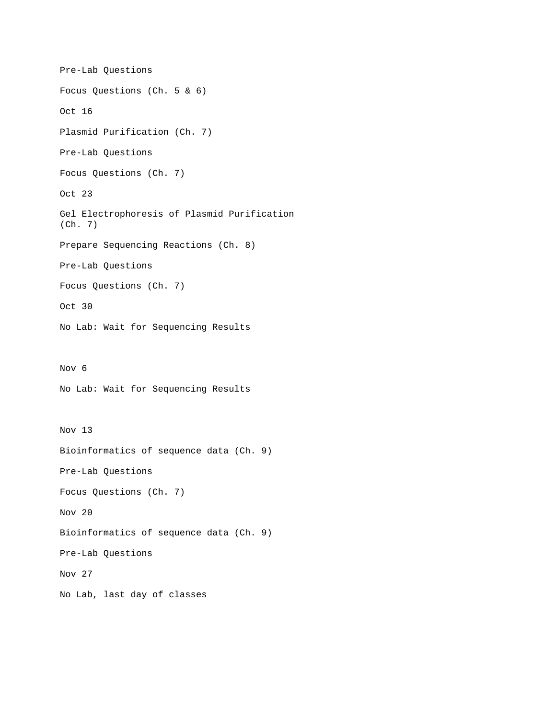```
Pre-Lab Questions 
Focus Questions (Ch. 5 & 6) 
Oct 16 
Plasmid Purification (Ch. 7) 
Pre-Lab Questions 
Focus Questions (Ch. 7) 
Oct 23 
Gel Electrophoresis of Plasmid Purification 
(Ch. 7) 
Prepare Sequencing Reactions (Ch. 8) 
Pre-Lab Questions 
Focus Questions (Ch. 7) 
Oct 30 
No Lab: Wait for Sequencing Results 
Nov 6 
No Lab: Wait for Sequencing Results 
Nov 13 
Bioinformatics of sequence data (Ch. 9) 
Pre-Lab Questions 
Focus Questions (Ch. 7) 
Nov 20 
Bioinformatics of sequence data (Ch. 9) 
Pre-Lab Questions 
Nov 27 
No Lab, last day of classes
```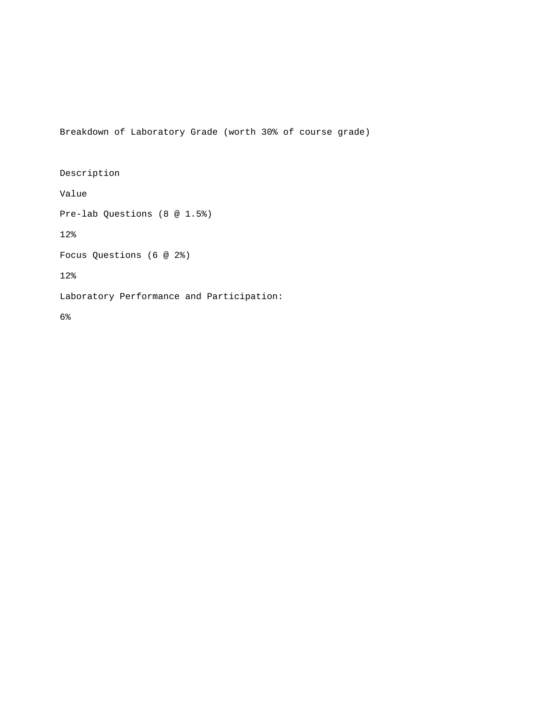Breakdown of Laboratory Grade (worth 30% of course grade)

Description Value Pre-lab Questions (8 @ 1.5%) 12% Focus Questions (6 @ 2%) 12% Laboratory Performance and Participation: 6%